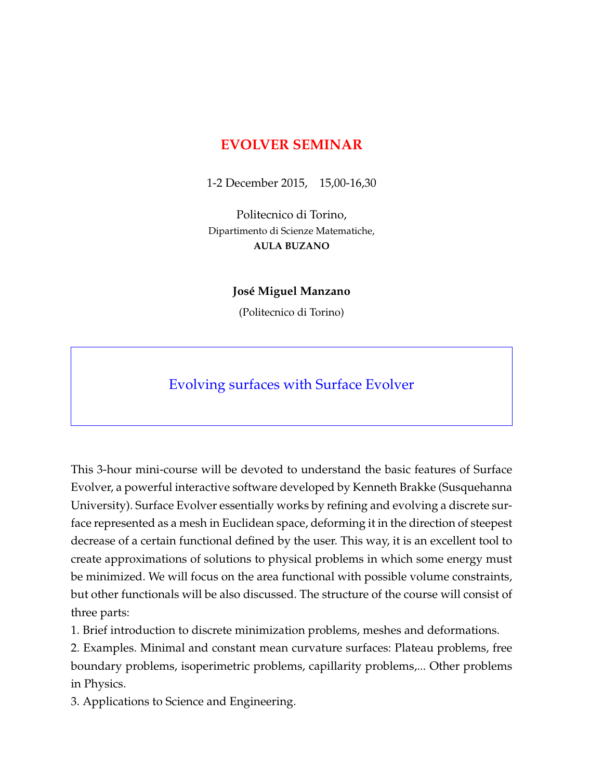## **EVOLVER SEMINAR**

1-2 December 2015, 15,00-16,30

Politecnico di Torino, Dipartimento di Scienze Matematiche, **AULA BUZANO**

## **José Miguel Manzano**

(Politecnico di Torino)

## Evolving surfaces with Surface Evolver

This 3-hour mini-course will be devoted to understand the basic features of Surface Evolver, a powerful interactive software developed by Kenneth Brakke (Susquehanna University). Surface Evolver essentially works by refining and evolving a discrete surface represented as a mesh in Euclidean space, deforming it in the direction of steepest decrease of a certain functional defined by the user. This way, it is an excellent tool to create approximations of solutions to physical problems in which some energy must be minimized. We will focus on the area functional with possible volume constraints, but other functionals will be also discussed. The structure of the course will consist of three parts:

1. Brief introduction to discrete minimization problems, meshes and deformations.

2. Examples. Minimal and constant mean curvature surfaces: Plateau problems, free boundary problems, isoperimetric problems, capillarity problems,... Other problems in Physics.

3. Applications to Science and Engineering.